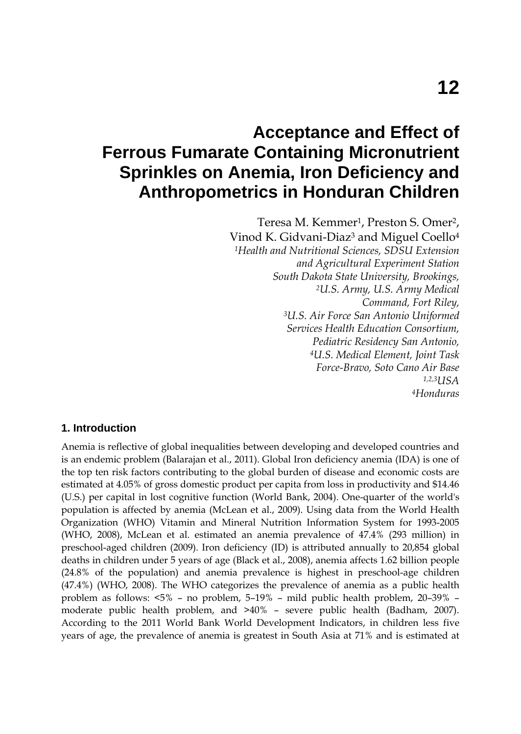# **Acceptance and Effect of Ferrous Fumarate Containing Micronutrient Sprinkles on Anemia, Iron Deficiency and Anthropometrics in Honduran Children**

Teresa M. Kemmer<sup>1</sup>, Preston S. Omer<sup>2</sup>, Vinod K. Gidvani-Diaz3 and Miguel Coello4 *1Health and Nutritional Sciences, SDSU Extension and Agricultural Experiment Station South Dakota State University, Brookings, 2U.S. Army, U.S. Army Medical Command, Fort Riley, 3U.S. Air Force San Antonio Uniformed Services Health Education Consortium, Pediatric Residency San Antonio, 4U.S. Medical Element, Joint Task Force-Bravo, Soto Cano Air Base 1,2,3USA 4Honduras* 

# **1. Introduction**

Anemia is reflective of global inequalities between developing and developed countries and is an endemic problem (Balarajan et al., 2011). Global Iron deficiency anemia (IDA) is one of the top ten risk factors contributing to the global burden of disease and economic costs are estimated at 4.05% of gross domestic product per capita from loss in productivity and \$14.46 (U.S.) per capital in lost cognitive function (World Bank, 2004). One-quarter of the world's population is affected by anemia (McLean et al., 2009). Using data from the World Health Organization (WHO) Vitamin and Mineral Nutrition Information System for 1993-2005 (WHO, 2008), McLean et al. estimated an anemia prevalence of 47.4% (293 million) in preschool-aged children (2009). Iron deficiency (ID) is attributed annually to 20,854 global deaths in children under 5 years of age (Black et al., 2008), anemia affects 1.62 billion people (24.8% of the population) and anemia prevalence is highest in preschool-age children (47.4%) (WHO, 2008). The WHO categorizes the prevalence of anemia as a public health problem as follows: <5% – no problem, 5–19% – mild public health problem, 20–39% – moderate public health problem, and >40% – severe public health (Badham, 2007). According to the 2011 World Bank World Development Indicators, in children less five years of age, the prevalence of anemia is greatest in South Asia at 71% and is estimated at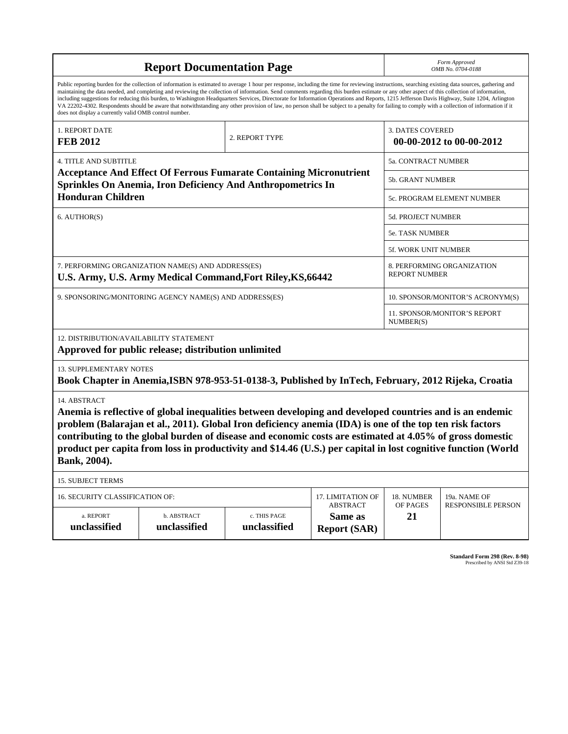| <b>Report Documentation Page</b>                                                                                                                                                                                                                                                                                                                                                                                                                                                                                                                                                                                                                                                                                                                                                                                                                                   |                                                                                                                                                                                                                                                                                                                                                                                                                                                   |                              | Form Approved<br>OMB No. 0704-0188                  |                                                    |                                           |
|--------------------------------------------------------------------------------------------------------------------------------------------------------------------------------------------------------------------------------------------------------------------------------------------------------------------------------------------------------------------------------------------------------------------------------------------------------------------------------------------------------------------------------------------------------------------------------------------------------------------------------------------------------------------------------------------------------------------------------------------------------------------------------------------------------------------------------------------------------------------|---------------------------------------------------------------------------------------------------------------------------------------------------------------------------------------------------------------------------------------------------------------------------------------------------------------------------------------------------------------------------------------------------------------------------------------------------|------------------------------|-----------------------------------------------------|----------------------------------------------------|-------------------------------------------|
| Public reporting burden for the collection of information is estimated to average 1 hour per response, including the time for reviewing instructions, searching existing data sources, gathering and<br>maintaining the data needed, and completing and reviewing the collection of information. Send comments regarding this burden estimate or any other aspect of this collection of information,<br>including suggestions for reducing this burden, to Washington Headquarters Services, Directorate for Information Operations and Reports, 1215 Jefferson Davis Highway, Suite 1204, Arlington<br>VA 22202-4302. Respondents should be aware that notwithstanding any other provision of law, no person shall be subject to a penalty for failing to comply with a collection of information if it<br>does not display a currently valid OMB control number. |                                                                                                                                                                                                                                                                                                                                                                                                                                                   |                              |                                                     |                                                    |                                           |
| 1. REPORT DATE<br><b>FEB 2012</b>                                                                                                                                                                                                                                                                                                                                                                                                                                                                                                                                                                                                                                                                                                                                                                                                                                  | 2. REPORT TYPE                                                                                                                                                                                                                                                                                                                                                                                                                                    |                              | <b>3. DATES COVERED</b><br>00-00-2012 to 00-00-2012 |                                                    |                                           |
| <b>4. TITLE AND SUBTITLE</b>                                                                                                                                                                                                                                                                                                                                                                                                                                                                                                                                                                                                                                                                                                                                                                                                                                       |                                                                                                                                                                                                                                                                                                                                                                                                                                                   |                              |                                                     | 5a. CONTRACT NUMBER                                |                                           |
| <b>Acceptance And Effect Of Ferrous Fumarate Containing Micronutrient</b>                                                                                                                                                                                                                                                                                                                                                                                                                                                                                                                                                                                                                                                                                                                                                                                          |                                                                                                                                                                                                                                                                                                                                                                                                                                                   |                              |                                                     | <b>5b. GRANT NUMBER</b>                            |                                           |
| Sprinkles On Anemia, Iron Deficiency And Anthropometrics In<br>Honduran Children                                                                                                                                                                                                                                                                                                                                                                                                                                                                                                                                                                                                                                                                                                                                                                                   |                                                                                                                                                                                                                                                                                                                                                                                                                                                   |                              |                                                     | 5c. PROGRAM ELEMENT NUMBER                         |                                           |
| 6. AUTHOR(S)                                                                                                                                                                                                                                                                                                                                                                                                                                                                                                                                                                                                                                                                                                                                                                                                                                                       |                                                                                                                                                                                                                                                                                                                                                                                                                                                   |                              |                                                     | <b>5d. PROJECT NUMBER</b>                          |                                           |
|                                                                                                                                                                                                                                                                                                                                                                                                                                                                                                                                                                                                                                                                                                                                                                                                                                                                    |                                                                                                                                                                                                                                                                                                                                                                                                                                                   |                              |                                                     | 5e. TASK NUMBER                                    |                                           |
|                                                                                                                                                                                                                                                                                                                                                                                                                                                                                                                                                                                                                                                                                                                                                                                                                                                                    |                                                                                                                                                                                                                                                                                                                                                                                                                                                   |                              |                                                     | 5f. WORK UNIT NUMBER                               |                                           |
| 7. PERFORMING ORGANIZATION NAME(S) AND ADDRESS(ES)<br>U.S. Army, U.S. Army Medical Command, Fort Riley, KS, 66442                                                                                                                                                                                                                                                                                                                                                                                                                                                                                                                                                                                                                                                                                                                                                  |                                                                                                                                                                                                                                                                                                                                                                                                                                                   |                              |                                                     | 8. PERFORMING ORGANIZATION<br><b>REPORT NUMBER</b> |                                           |
|                                                                                                                                                                                                                                                                                                                                                                                                                                                                                                                                                                                                                                                                                                                                                                                                                                                                    | 9. SPONSORING/MONITORING AGENCY NAME(S) AND ADDRESS(ES)                                                                                                                                                                                                                                                                                                                                                                                           |                              |                                                     | 10. SPONSOR/MONITOR'S ACRONYM(S)                   |                                           |
|                                                                                                                                                                                                                                                                                                                                                                                                                                                                                                                                                                                                                                                                                                                                                                                                                                                                    |                                                                                                                                                                                                                                                                                                                                                                                                                                                   |                              |                                                     | <b>11. SPONSOR/MONITOR'S REPORT</b><br>NUMBER(S)   |                                           |
| 12. DISTRIBUTION/AVAILABILITY STATEMENT<br>Approved for public release; distribution unlimited                                                                                                                                                                                                                                                                                                                                                                                                                                                                                                                                                                                                                                                                                                                                                                     |                                                                                                                                                                                                                                                                                                                                                                                                                                                   |                              |                                                     |                                                    |                                           |
| 13. SUPPLEMENTARY NOTES                                                                                                                                                                                                                                                                                                                                                                                                                                                                                                                                                                                                                                                                                                                                                                                                                                            | Book Chapter in Anemia, ISBN 978-953-51-0138-3, Published by InTech, February, 2012 Rijeka, Croatia                                                                                                                                                                                                                                                                                                                                               |                              |                                                     |                                                    |                                           |
| 14. ABSTRACT<br>Bank, 2004).                                                                                                                                                                                                                                                                                                                                                                                                                                                                                                                                                                                                                                                                                                                                                                                                                                       | Anemia is reflective of global inequalities between developing and developed countries and is an endemic<br>problem (Balarajan et al., 2011). Global Iron deficiency anemia (IDA) is one of the top ten risk factors<br>contributing to the global burden of disease and economic costs are estimated at 4.05% of gross domestic<br>product per capita from loss in productivity and \$14.46 (U.S.) per capital in lost cognitive function (World |                              |                                                     |                                                    |                                           |
| <b>15. SUBJECT TERMS</b>                                                                                                                                                                                                                                                                                                                                                                                                                                                                                                                                                                                                                                                                                                                                                                                                                                           |                                                                                                                                                                                                                                                                                                                                                                                                                                                   |                              |                                                     |                                                    |                                           |
| 16. SECURITY CLASSIFICATION OF:                                                                                                                                                                                                                                                                                                                                                                                                                                                                                                                                                                                                                                                                                                                                                                                                                                    |                                                                                                                                                                                                                                                                                                                                                                                                                                                   |                              | 17. LIMITATION OF<br><b>ABSTRACT</b>                | 18. NUMBER<br>OF PAGES                             | 19a. NAME OF<br><b>RESPONSIBLE PERSON</b> |
| a. REPORT<br>unclassified                                                                                                                                                                                                                                                                                                                                                                                                                                                                                                                                                                                                                                                                                                                                                                                                                                          | b. ABSTRACT<br>unclassified                                                                                                                                                                                                                                                                                                                                                                                                                       | c. THIS PAGE<br>unclassified | Same as<br><b>Report (SAR)</b>                      | 21                                                 |                                           |

**Standard Form 298 (Rev. 8-98)**<br>Prescribed by ANSI Std Z39-18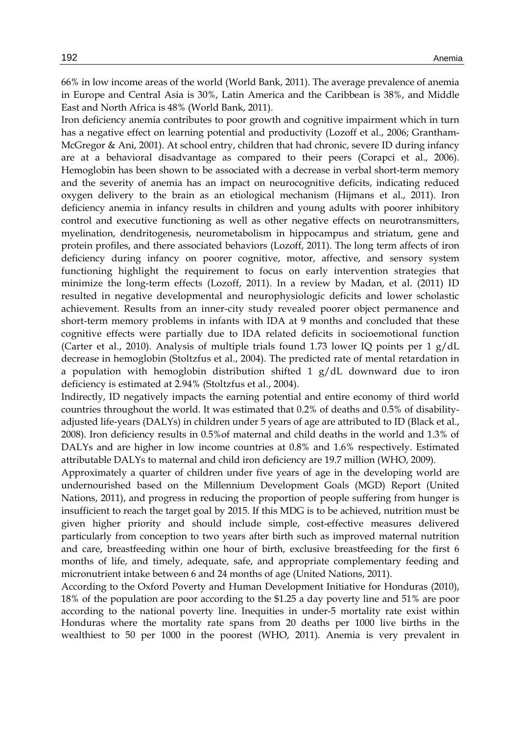66% in low income areas of the world (World Bank, 2011). The average prevalence of anemia in Europe and Central Asia is 30%, Latin America and the Caribbean is 38%, and Middle East and North Africa is 48% (World Bank, 2011).

Iron deficiency anemia contributes to poor growth and cognitive impairment which in turn has a negative effect on learning potential and productivity (Lozoff et al., 2006; Grantham-McGregor & Ani, 2001). At school entry, children that had chronic, severe ID during infancy are at a behavioral disadvantage as compared to their peers (Corapci et al., 2006). Hemoglobin has been shown to be associated with a decrease in verbal short-term memory and the severity of anemia has an impact on neurocognitive deficits, indicating reduced oxygen delivery to the brain as an etiological mechanism (Hijmans et al., 2011). Iron deficiency anemia in infancy results in children and young adults with poorer inhibitory control and executive functioning as well as other negative effects on neurotransmitters, myelination, dendritogenesis, neurometabolism in hippocampus and striatum, gene and protein profiles, and there associated behaviors (Lozoff, 2011). The long term affects of iron deficiency during infancy on poorer cognitive, motor, affective, and sensory system functioning highlight the requirement to focus on early intervention strategies that minimize the long-term effects (Lozoff, 2011). In a review by Madan, et al. (2011) ID resulted in negative developmental and neurophysiologic deficits and lower scholastic achievement. Results from an inner-city study revealed poorer object permanence and short-term memory problems in infants with IDA at 9 months and concluded that these cognitive effects were partially due to IDA related deficits in socioemotional function (Carter et al., 2010). Analysis of multiple trials found 1.73 lower IQ points per 1  $g/dL$ decrease in hemoglobin (Stoltzfus et al., 2004). The predicted rate of mental retardation in a population with hemoglobin distribution shifted 1 g/dL downward due to iron deficiency is estimated at 2.94% (Stoltzfus et al., 2004).

Indirectly, ID negatively impacts the earning potential and entire economy of third world countries throughout the world. It was estimated that 0.2% of deaths and 0.5% of disabilityadjusted life-years (DALYs) in children under 5 years of age are attributed to ID (Black et al., 2008). Iron deficiency results in 0.5%of maternal and child deaths in the world and 1.3% of DALYs and are higher in low income countries at 0.8% and 1.6% respectively. Estimated attributable DALYs to maternal and child iron deficiency are 19.7 million (WHO, 2009).

Approximately a quarter of children under five years of age in the developing world are undernourished based on the Millennium Development Goals (MGD) Report (United Nations, 2011), and progress in reducing the proportion of people suffering from hunger is insufficient to reach the target goal by 2015. If this MDG is to be achieved, nutrition must be given higher priority and should include simple, cost-effective measures delivered particularly from conception to two years after birth such as improved maternal nutrition and care, breastfeeding within one hour of birth, exclusive breastfeeding for the first 6 months of life, and timely, adequate, safe, and appropriate complementary feeding and micronutrient intake between 6 and 24 months of age (United Nations, 2011).

According to the Oxford Poverty and Human Development Initiative for Honduras (2010), 18% of the population are poor according to the \$1.25 a day poverty line and 51% are poor according to the national poverty line. Inequities in under-5 mortality rate exist within Honduras where the mortality rate spans from 20 deaths per 1000 live births in the wealthiest to 50 per 1000 in the poorest (WHO, 2011). Anemia is very prevalent in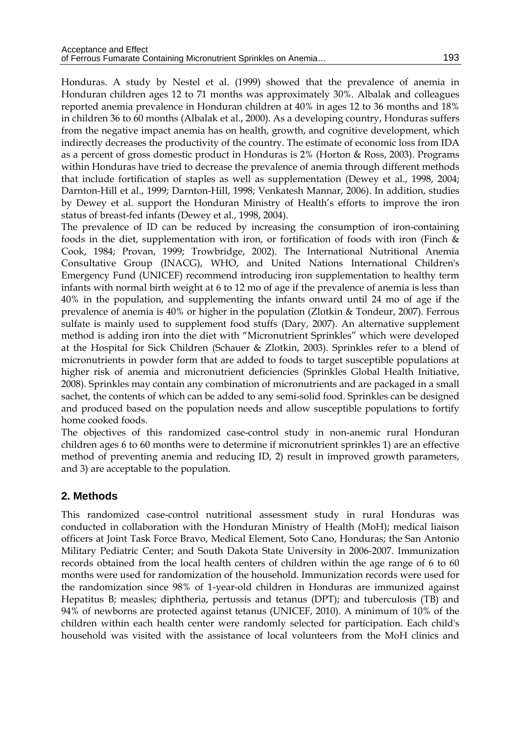Honduras. A study by Nestel et al. (1999) showed that the prevalence of anemia in Honduran children ages 12 to 71 months was approximately 30%. Albalak and colleagues reported anemia prevalence in Honduran children at 40% in ages 12 to 36 months and 18% in children 36 to 60 months (Albalak et al., 2000). As a developing country, Honduras suffers from the negative impact anemia has on health, growth, and cognitive development, which indirectly decreases the productivity of the country. The estimate of economic loss from IDA as a percent of gross domestic product in Honduras is 2% (Horton & Ross, 2003). Programs within Honduras have tried to decrease the prevalence of anemia through different methods that include fortification of staples as well as supplementation (Dewey et al., 1998, 2004; Darnton-Hill et al., 1999; Darnton-Hill, 1998; Venkatesh Mannar, 2006). In addition, studies by Dewey et al. support the Honduran Ministry of Health's efforts to improve the iron status of breast-fed infants (Dewey et al., 1998, 2004).

The prevalence of ID can be reduced by increasing the consumption of iron-containing foods in the diet, supplementation with iron, or fortification of foods with iron (Finch & Cook, 1984; Provan, 1999; Trowbridge, 2002). The International Nutritional Anemia Consultative Group (INACG), WHO, and United Nations International Children's Emergency Fund (UNICEF) recommend introducing iron supplementation to healthy term infants with normal birth weight at 6 to 12 mo of age if the prevalence of anemia is less than 40% in the population, and supplementing the infants onward until 24 mo of age if the prevalence of anemia is 40% or higher in the population (Zlotkin & Tondeur, 2007). Ferrous sulfate is mainly used to supplement food stuffs (Dary, 2007). An alternative supplement method is adding iron into the diet with "Micronutrient Sprinkles" which were developed at the Hospital for Sick Children (Schauer & Zlotkin, 2003). Sprinkles refer to a blend of micronutrients in powder form that are added to foods to target susceptible populations at higher risk of anemia and micronutrient deficiencies (Sprinkles Global Health Initiative, 2008). Sprinkles may contain any combination of micronutrients and are packaged in a small sachet, the contents of which can be added to any semi-solid food. Sprinkles can be designed and produced based on the population needs and allow susceptible populations to fortify home cooked foods.

The objectives of this randomized case-control study in non-anemic rural Honduran children ages 6 to 60 months were to determine if micronutrient sprinkles 1) are an effective method of preventing anemia and reducing ID, 2) result in improved growth parameters, and 3) are acceptable to the population.

# **2. Methods**

This randomized case-control nutritional assessment study in rural Honduras was conducted in collaboration with the Honduran Ministry of Health (MoH); medical liaison officers at Joint Task Force Bravo, Medical Element, Soto Cano, Honduras; the San Antonio Military Pediatric Center; and South Dakota State University in 2006-2007. Immunization records obtained from the local health centers of children within the age range of 6 to 60 months were used for randomization of the household. Immunization records were used for the randomization since 98% of 1-year-old children in Honduras are immunized against Hepatitus B; measles; diphtheria, pertussis and tetanus (DPT); and tuberculosis (TB) and 94% of newborns are protected against tetanus (UNICEF, 2010). A minimum of 10% of the children within each health center were randomly selected for participation. Each child's household was visited with the assistance of local volunteers from the MoH clinics and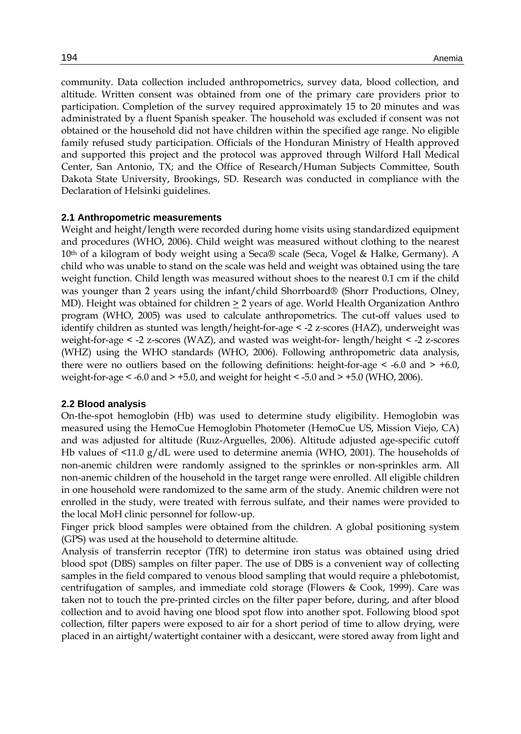community. Data collection included anthropometrics, survey data, blood collection, and altitude. Written consent was obtained from one of the primary care providers prior to participation. Completion of the survey required approximately 15 to 20 minutes and was administrated by a fluent Spanish speaker. The household was excluded if consent was not obtained or the household did not have children within the specified age range. No eligible family refused study participation. Officials of the Honduran Ministry of Health approved and supported this project and the protocol was approved through Wilford Hall Medical Center, San Antonio, TX; and the Office of Research/Human Subjects Committee, South Dakota State University, Brookings, SD. Research was conducted in compliance with the Declaration of Helsinki guidelines.

#### **2.1 Anthropometric measurements**

Weight and height/length were recorded during home visits using standardized equipment and procedures (WHO, 2006). Child weight was measured without clothing to the nearest 10th of a kilogram of body weight using a Seca® scale (Seca, Vogel & Halke, Germany). A child who was unable to stand on the scale was held and weight was obtained using the tare weight function. Child length was measured without shoes to the nearest 0.1 cm if the child was younger than 2 years using the infant/child Shorrboard® (Shorr Productions, Olney, MD). Height was obtained for children  $\geq 2$  years of age. World Health Organization Anthro program (WHO, 2005) was used to calculate anthropometrics. The cut-off values used to identify children as stunted was length/height-for-age < -2 z*-*scores (HAZ), underweight was weight-for-age < -2 z-scores (WAZ), and wasted was weight-for- length/height < -2 z-scores (WHZ) using the WHO standards (WHO, 2006). Following anthropometric data analysis, there were no outliers based on the following definitions: height-for-age  $\leq$  -6.0 and  $>$  +6.0, weight-for-age  $\leq$  -6.0 and  $\geq$  +5.0, and weight for height  $\leq$  -5.0 and  $\geq$  +5.0 (WHO, 2006).

#### **2.2 Blood analysis**

On-the-spot hemoglobin (Hb) was used to determine study eligibility. Hemoglobin was measured using the HemoCue Hemoglobin Photometer (HemoCue US, Mission Viejo, CA) and was adjusted for altitude (Ruız-Arguelles, 2006). Altitude adjusted age-specific cutoff Hb values of  $\langle 11.0 \text{ g}/d$ L were used to determine anemia (WHO, 2001). The households of non-anemic children were randomly assigned to the sprinkles or non-sprinkles arm. All non-anemic children of the household in the target range were enrolled. All eligible children in one household were randomized to the same arm of the study. Anemic children were not enrolled in the study, were treated with ferrous sulfate, and their names were provided to the local MoH clinic personnel for follow-up.

Finger prick blood samples were obtained from the children. A global positioning system (GPS) was used at the household to determine altitude.

Analysis of transferrin receptor (TfR) to determine iron status was obtained using dried blood spot (DBS) samples on filter paper. The use of DBS is a convenient way of collecting samples in the field compared to venous blood sampling that would require a phlebotomist, centrifugation of samples, and immediate cold storage (Flowers & Cook, 1999). Care was taken not to touch the pre-printed circles on the filter paper before, during, and after blood collection and to avoid having one blood spot flow into another spot. Following blood spot collection, filter papers were exposed to air for a short period of time to allow drying, were placed in an airtight/watertight container with a desiccant, were stored away from light and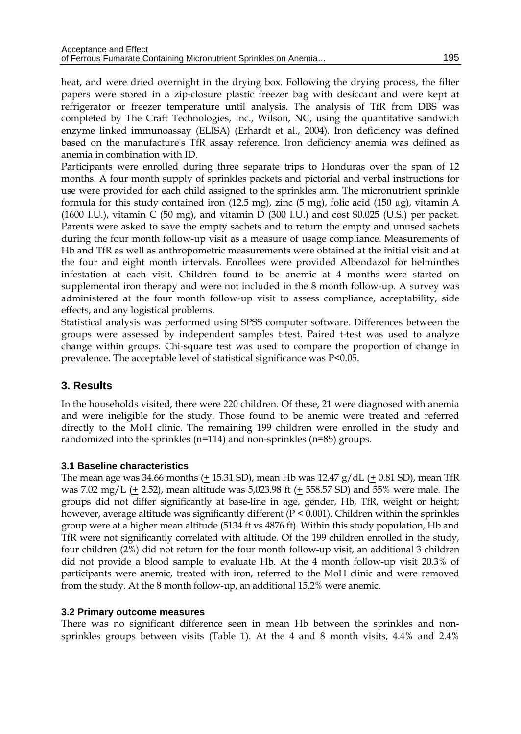heat, and were dried overnight in the drying box. Following the drying process, the filter papers were stored in a zip-closure plastic freezer bag with desiccant and were kept at refrigerator or freezer temperature until analysis. The analysis of TfR from DBS was completed by The Craft Technologies, Inc., Wilson, NC, using the quantitative sandwich enzyme linked immunoassay (ELISA) (Erhardt et al., 2004). Iron deficiency was defined based on the manufacture's TfR assay reference. Iron deficiency anemia was defined as anemia in combination with ID.

Participants were enrolled during three separate trips to Honduras over the span of 12 months. A four month supply of sprinkles packets and pictorial and verbal instructions for use were provided for each child assigned to the sprinkles arm. The micronutrient sprinkle formula for this study contained iron (12.5 mg), zinc (5 mg), folic acid (150 µg), vitamin A (1600 I.U.), vitamin C (50 mg), and vitamin D (300 I.U.) and cost \$0.025 (U.S.) per packet. Parents were asked to save the empty sachets and to return the empty and unused sachets during the four month follow-up visit as a measure of usage compliance. Measurements of Hb and TfR as well as anthropometric measurements were obtained at the initial visit and at the four and eight month intervals. Enrollees were provided Albendazol for helminthes infestation at each visit. Children found to be anemic at 4 months were started on supplemental iron therapy and were not included in the 8 month follow-up. A survey was administered at the four month follow-up visit to assess compliance, acceptability, side effects, and any logistical problems.

Statistical analysis was performed using SPSS computer software. Differences between the groups were assessed by independent samples t-test. Paired t-test was used to analyze change within groups. Chi-square test was used to compare the proportion of change in prevalence. The acceptable level of statistical significance was P<0.05.

# **3. Results**

In the households visited, there were 220 children. Of these, 21 were diagnosed with anemia and were ineligible for the study. Those found to be anemic were treated and referred directly to the MoH clinic. The remaining 199 children were enrolled in the study and randomized into the sprinkles (n=114) and non-sprinkles (n=85) groups.

# **3.1 Baseline characteristics**

The mean age was 34.66 months (+ 15.31 SD), mean Hb was  $12.47$  g/dL (+ 0.81 SD), mean TfR was 7.02 mg/L ( $\pm$  2.52), mean altitude was 5,023.98 ft ( $\pm$  558.57 SD) and 55% were male. The groups did not differ significantly at base-line in age, gender, Hb, TfR, weight or height; however, average altitude was significantly different  $(P < 0.001)$ . Children within the sprinkles group were at a higher mean altitude (5134 ft vs 4876 ft). Within this study population, Hb and TfR were not significantly correlated with altitude. Of the 199 children enrolled in the study, four children (2%) did not return for the four month follow-up visit, an additional 3 children did not provide a blood sample to evaluate Hb. At the 4 month follow-up visit 20.3% of participants were anemic, treated with iron, referred to the MoH clinic and were removed from the study. At the 8 month follow-up, an additional 15.2% were anemic.

# **3.2 Primary outcome measures**

There was no significant difference seen in mean Hb between the sprinkles and nonsprinkles groups between visits (Table 1). At the 4 and 8 month visits, 4.4% and 2.4%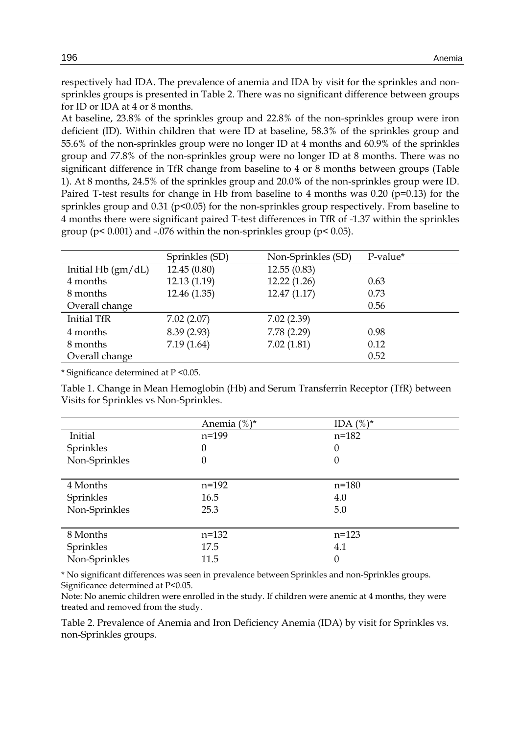respectively had IDA. The prevalence of anemia and IDA by visit for the sprinkles and nonsprinkles groups is presented in Table 2. There was no significant difference between groups for ID or IDA at 4 or 8 months.

At baseline, 23.8% of the sprinkles group and 22.8% of the non-sprinkles group were iron deficient (ID). Within children that were ID at baseline, 58.3% of the sprinkles group and 55.6% of the non-sprinkles group were no longer ID at 4 months and 60.9% of the sprinkles group and 77.8% of the non-sprinkles group were no longer ID at 8 months. There was no significant difference in TfR change from baseline to 4 or 8 months between groups (Table 1). At 8 months, 24.5% of the sprinkles group and 20.0% of the non-sprinkles group were ID. Paired T-test results for change in Hb from baseline to 4 months was  $0.20$  (p=0.13) for the sprinkles group and 0.31 ( $p<0.05$ ) for the non-sprinkles group respectively. From baseline to 4 months there were significant paired T-test differences in TfR of -1.37 within the sprinkles group ( $p$ < 0.001) and -.076 within the non-sprinkles group ( $p$ < 0.05).

|                      | Sprinkles (SD) | Non-Sprinkles (SD) | $P-value*$ |
|----------------------|----------------|--------------------|------------|
| Initial $Hb$ (gm/dL) | 12.45(0.80)    | 12.55(0.83)        |            |
| 4 months             | 12.13(1.19)    | 12.22(1.26)        | 0.63       |
| 8 months             | 12.46 (1.35)   | 12.47(1.17)        | 0.73       |
| Overall change       |                |                    | 0.56       |
| Initial TfR          | 7.02(2.07)     | 7.02(2.39)         |            |
| 4 months             | 8.39 (2.93)    | 7.78(2.29)         | 0.98       |
| 8 months             | 7.19(1.64)     | 7.02(1.81)         | 0.12       |
| Overall change       |                |                    | 0.52       |

\* Significance determined at P <0.05.

Table 1. Change in Mean Hemoglobin (Hb) and Serum Transferrin Receptor (TfR) between Visits for Sprinkles vs Non-Sprinkles.

|               | Anemia $(\%)^*$ | IDA $(%)^*$ |
|---------------|-----------------|-------------|
| Initial       | $n=199$         | $n = 182$   |
| Sprinkles     | $\theta$        | 0           |
| Non-Sprinkles | $\theta$        | $\theta$    |
|               |                 |             |
| 4 Months      | $n=192$         | $n = 180$   |
| Sprinkles     | 16.5            | 4.0         |
| Non-Sprinkles | 25.3            | 5.0         |
|               |                 |             |
| 8 Months      | $n=132$         | $n=123$     |
| Sprinkles     | 17.5            | 4.1         |
| Non-Sprinkles | 11.5            | $\theta$    |

\* No significant differences was seen in prevalence between Sprinkles and non-Sprinkles groups. Significance determined at P<0.05.

Note: No anemic children were enrolled in the study. If children were anemic at 4 months, they were treated and removed from the study.

Table 2. Prevalence of Anemia and Iron Deficiency Anemia (IDA) by visit for Sprinkles vs. non-Sprinkles groups.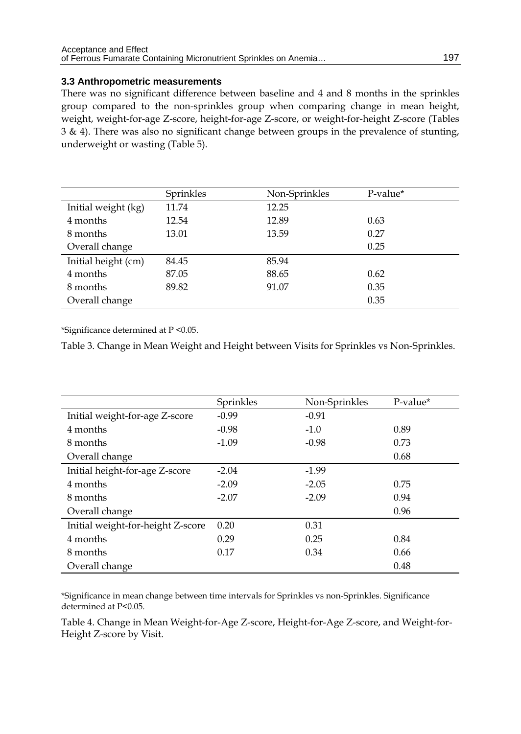#### **3.3 Anthropometric measurements**

There was no significant difference between baseline and 4 and 8 months in the sprinkles group compared to the non-sprinkles group when comparing change in mean height, weight, weight-for-age Z-score, height-for-age Z-score, or weight-for-height Z-score (Tables 3 & 4). There was also no significant change between groups in the prevalence of stunting, underweight or wasting (Table 5).

|                     | Sprinkles | Non-Sprinkles | P-value* |
|---------------------|-----------|---------------|----------|
| Initial weight (kg) | 11.74     | 12.25         |          |
| 4 months            | 12.54     | 12.89         | 0.63     |
| 8 months            | 13.01     | 13.59         | 0.27     |
| Overall change      |           |               | 0.25     |
| Initial height (cm) | 84.45     | 85.94         |          |
| 4 months            | 87.05     | 88.65         | 0.62     |
| 8 months            | 89.82     | 91.07         | 0.35     |
| Overall change      |           |               | 0.35     |

\*Significance determined at P <0.05.

Table 3. Change in Mean Weight and Height between Visits for Sprinkles vs Non-Sprinkles.

|                                   | Sprinkles | Non-Sprinkles | P-value* |
|-----------------------------------|-----------|---------------|----------|
| Initial weight-for-age Z-score    | $-0.99$   | $-0.91$       |          |
| 4 months                          | $-0.98$   | $-1.0$        | 0.89     |
| 8 months                          | $-1.09$   | $-0.98$       | 0.73     |
| Overall change                    |           |               | 0.68     |
| Initial height-for-age Z-score    | $-2.04$   | $-1.99$       |          |
| 4 months                          | $-2.09$   | $-2.05$       | 0.75     |
| 8 months                          | $-2.07$   | $-2.09$       | 0.94     |
| Overall change                    |           |               | 0.96     |
| Initial weight-for-height Z-score | 0.20      | 0.31          |          |
| 4 months                          | 0.29      | 0.25          | 0.84     |
| 8 months                          | 0.17      | 0.34          | 0.66     |
| Overall change                    |           |               | 0.48     |

\*Significance in mean change between time intervals for Sprinkles vs non-Sprinkles. Significance determined at P<0.05.

Table 4. Change in Mean Weight-for-Age Z-score, Height-for-Age Z-score, and Weight-for-Height Z-score by Visit.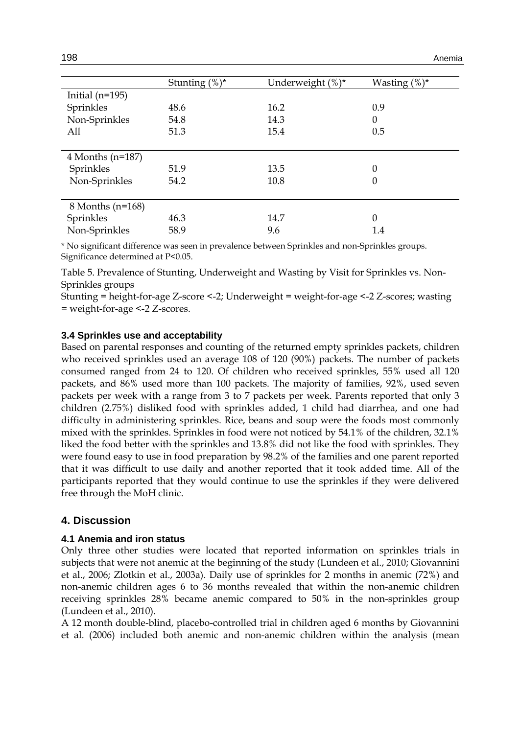|                      | Stunting $(\%)^*$ | Underweight (%)* | Wasting $(\%)^*$ |
|----------------------|-------------------|------------------|------------------|
| Initial $(n=195)$    |                   |                  |                  |
| Sprinkles            | 48.6              | 16.2             | 0.9              |
| Non-Sprinkles        | 54.8              | 14.3             | $\theta$         |
| All                  | 51.3              | 15.4             | 0.5              |
|                      |                   |                  |                  |
| 4 Months ( $n=187$ ) |                   |                  |                  |
| Sprinkles            | 51.9              | 13.5             | 0                |
| Non-Sprinkles        | 54.2              | 10.8             | 0                |
|                      |                   |                  |                  |
| 8 Months (n=168)     |                   |                  |                  |
| Sprinkles            | 46.3              | 14.7             | 0                |
| Non-Sprinkles        | 58.9              | 9.6              | 1.4              |
|                      |                   |                  |                  |

\* No significant difference was seen in prevalence between Sprinkles and non-Sprinkles groups. Significance determined at P<0.05.

Table 5. Prevalence of Stunting, Underweight and Wasting by Visit for Sprinkles vs. Non-Sprinkles groups

Stunting = height-for-age Z-score <-2; Underweight = weight-for-age <-2 Z-scores; wasting = weight-for-age <-2 Z-scores.

#### **3.4 Sprinkles use and acceptability**

Based on parental responses and counting of the returned empty sprinkles packets, children who received sprinkles used an average 108 of 120 (90%) packets. The number of packets consumed ranged from 24 to 120. Of children who received sprinkles, 55% used all 120 packets, and 86% used more than 100 packets. The majority of families, 92%, used seven packets per week with a range from 3 to 7 packets per week. Parents reported that only 3 children (2.75%) disliked food with sprinkles added, 1 child had diarrhea, and one had difficulty in administering sprinkles. Rice, beans and soup were the foods most commonly mixed with the sprinkles. Sprinkles in food were not noticed by 54.1% of the children, 32.1% liked the food better with the sprinkles and 13.8% did not like the food with sprinkles. They were found easy to use in food preparation by 98.2% of the families and one parent reported that it was difficult to use daily and another reported that it took added time. All of the participants reported that they would continue to use the sprinkles if they were delivered free through the MoH clinic.

# **4. Discussion**

## **4.1 Anemia and iron status**

Only three other studies were located that reported information on sprinkles trials in subjects that were not anemic at the beginning of the study (Lundeen et al., 2010; Giovannini et al., 2006; Zlotkin et al., 2003a). Daily use of sprinkles for 2 months in anemic (72%) and non-anemic children ages 6 to 36 months revealed that within the non-anemic children receiving sprinkles 28% became anemic compared to 50% in the non-sprinkles group (Lundeen et al., 2010).

A 12 month double-blind, placebo-controlled trial in children aged 6 months by Giovannini et al. (2006) included both anemic and non-anemic children within the analysis (mean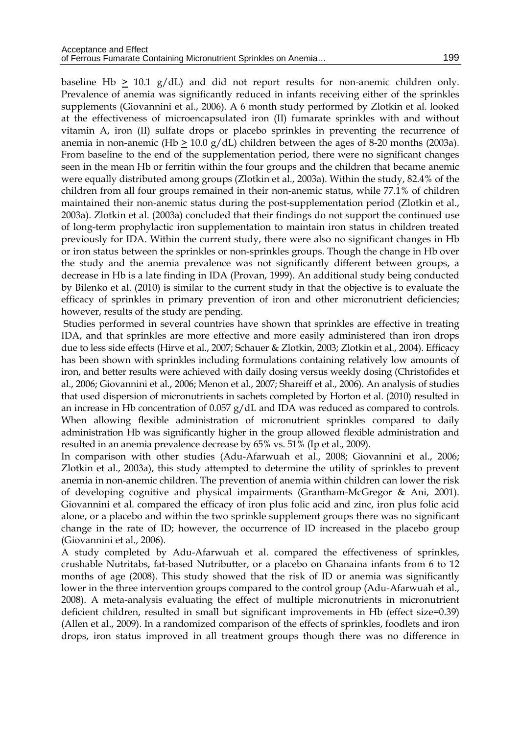baseline Hb  $\geq$  10.1 g/dL) and did not report results for non-anemic children only. Prevalence of anemia was significantly reduced in infants receiving either of the sprinkles supplements (Giovannini et al., 2006). A 6 month study performed by Zlotkin et al. looked at the effectiveness of microencapsulated iron (II) fumarate sprinkles with and without vitamin A, iron (II) sulfate drops or placebo sprinkles in preventing the recurrence of anemia in non-anemic (Hb  $\geq 10.0$  g/dL) children between the ages of 8-20 months (2003a). From baseline to the end of the supplementation period, there were no significant changes seen in the mean Hb or ferritin within the four groups and the children that became anemic were equally distributed among groups (Zlotkin et al., 2003a). Within the study, 82.4% of the children from all four groups remained in their non-anemic status, while 77.1% of children maintained their non-anemic status during the post-supplementation period (Zlotkin et al., 2003a). Zlotkin et al. (2003a) concluded that their findings do not support the continued use of long-term prophylactic iron supplementation to maintain iron status in children treated previously for IDA. Within the current study, there were also no significant changes in Hb or iron status between the sprinkles or non-sprinkles groups. Though the change in Hb over the study and the anemia prevalence was not significantly different between groups, a decrease in Hb is a late finding in IDA (Provan, 1999). An additional study being conducted by Bilenko et al. (2010) is similar to the current study in that the objective is to evaluate the efficacy of sprinkles in primary prevention of iron and other micronutrient deficiencies; however, results of the study are pending.

 Studies performed in several countries have shown that sprinkles are effective in treating IDA, and that sprinkles are more effective and more easily administered than iron drops due to less side effects (Hirve et al., 2007; Schauer & Zlotkin, 2003; Zlotkin et al., 2004). Efficacy has been shown with sprinkles including formulations containing relatively low amounts of iron, and better results were achieved with daily dosing versus weekly dosing (Christofides et al., 2006; Giovannini et al., 2006; Menon et al., 2007; Shareiff et al., 2006). An analysis of studies that used dispersion of micronutrients in sachets completed by Horton et al. (2010) resulted in an increase in Hb concentration of  $0.057$  g/dL and IDA was reduced as compared to controls. When allowing flexible administration of micronutrient sprinkles compared to daily administration Hb was significantly higher in the group allowed flexible administration and resulted in an anemia prevalence decrease by 65% vs. 51% (Ip et al., 2009).

In comparison with other studies (Adu-Afarwuah et al., 2008; Giovannini et al., 2006; Zlotkin et al., 2003a), this study attempted to determine the utility of sprinkles to prevent anemia in non-anemic children. The prevention of anemia within children can lower the risk of developing cognitive and physical impairments (Grantham-McGregor & Ani, 2001). Giovannini et al. compared the efficacy of iron plus folic acid and zinc, iron plus folic acid alone, or a placebo and within the two sprinkle supplement groups there was no significant change in the rate of ID; however, the occurrence of ID increased in the placebo group (Giovannini et al., 2006).

A study completed by Adu-Afarwuah et al. compared the effectiveness of sprinkles, crushable Nutritabs, fat-based Nutributter, or a placebo on Ghanaina infants from 6 to 12 months of age (2008). This study showed that the risk of ID or anemia was significantly lower in the three intervention groups compared to the control group (Adu-Afarwuah et al., 2008). A meta-analysis evaluating the effect of multiple micronutrients in micronutrient deficient children, resulted in small but significant improvements in Hb (effect size=0.39) (Allen et al., 2009). In a randomized comparison of the effects of sprinkles, foodlets and iron drops, iron status improved in all treatment groups though there was no difference in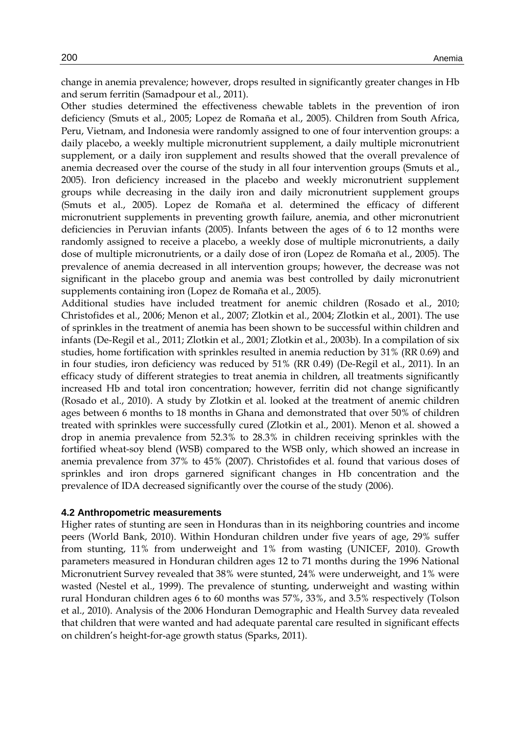change in anemia prevalence; however, drops resulted in significantly greater changes in Hb and serum ferritin (Samadpour et al., 2011).

Other studies determined the effectiveness chewable tablets in the prevention of iron deficiency (Smuts et al., 2005; Lopez de Romaña et al., 2005). Children from South Africa, Peru, Vietnam, and Indonesia were randomly assigned to one of four intervention groups: a daily placebo, a weekly multiple micronutrient supplement, a daily multiple micronutrient supplement, or a daily iron supplement and results showed that the overall prevalence of anemia decreased over the course of the study in all four intervention groups (Smuts et al., 2005). Iron deficiency increased in the placebo and weekly micronutrient supplement groups while decreasing in the daily iron and daily micronutrient supplement groups (Smuts et al., 2005). Lopez de Romaña et al. determined the efficacy of different micronutrient supplements in preventing growth failure, anemia, and other micronutrient deficiencies in Peruvian infants (2005). Infants between the ages of 6 to 12 months were randomly assigned to receive a placebo, a weekly dose of multiple micronutrients, a daily dose of multiple micronutrients, or a daily dose of iron (Lopez de Romaña et al., 2005). The prevalence of anemia decreased in all intervention groups; however, the decrease was not significant in the placebo group and anemia was best controlled by daily micronutrient supplements containing iron (Lopez de Romaña et al., 2005).

Additional studies have included treatment for anemic children (Rosado et al., 2010; Christofides et al., 2006; Menon et al., 2007; Zlotkin et al., 2004; Zlotkin et al., 2001). The use of sprinkles in the treatment of anemia has been shown to be successful within children and infants (De-Regil et al., 2011; Zlotkin et al., 2001; Zlotkin et al., 2003b). In a compilation of six studies, home fortification with sprinkles resulted in anemia reduction by 31% (RR 0.69) and in four studies, iron deficiency was reduced by 51% (RR 0.49) (De-Regil et al., 2011). In an efficacy study of different strategies to treat anemia in children, all treatments significantly increased Hb and total iron concentration; however, ferritin did not change significantly (Rosado et al., 2010). A study by Zlotkin et al. looked at the treatment of anemic children ages between 6 months to 18 months in Ghana and demonstrated that over 50% of children treated with sprinkles were successfully cured (Zlotkin et al., 2001). Menon et al. showed a drop in anemia prevalence from 52.3% to 28.3% in children receiving sprinkles with the fortified wheat-soy blend (WSB) compared to the WSB only, which showed an increase in anemia prevalence from 37% to 45% (2007). Christofides et al. found that various doses of sprinkles and iron drops garnered significant changes in Hb concentration and the prevalence of IDA decreased significantly over the course of the study (2006).

#### **4.2 Anthropometric measurements**

Higher rates of stunting are seen in Honduras than in its neighboring countries and income peers (World Bank, 2010). Within Honduran children under five years of age, 29% suffer from stunting, 11% from underweight and 1% from wasting (UNICEF, 2010). Growth parameters measured in Honduran children ages 12 to 71 months during the 1996 National Micronutrient Survey revealed that 38% were stunted, 24% were underweight, and 1% were wasted (Nestel et al., 1999). The prevalence of stunting, underweight and wasting within rural Honduran children ages 6 to 60 months was 57%, 33%, and 3.5% respectively (Tolson et al., 2010). Analysis of the 2006 Honduran Demographic and Health Survey data revealed that children that were wanted and had adequate parental care resulted in significant effects on children's height-for-age growth status (Sparks, 2011).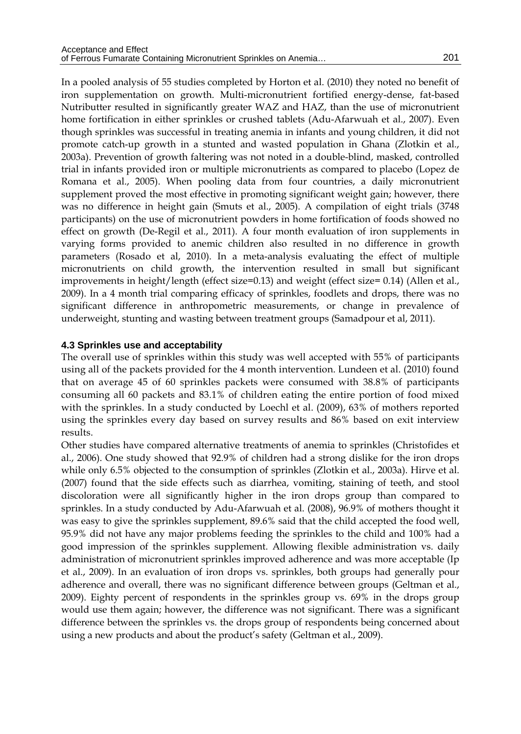In a pooled analysis of 55 studies completed by Horton et al. (2010) they noted no benefit of iron supplementation on growth. Multi-micronutrient fortified energy-dense, fat-based Nutributter resulted in significantly greater WAZ and HAZ, than the use of micronutrient home fortification in either sprinkles or crushed tablets (Adu-Afarwuah et al., 2007). Even though sprinkles was successful in treating anemia in infants and young children, it did not promote catch-up growth in a stunted and wasted population in Ghana (Zlotkin et al., 2003a). Prevention of growth faltering was not noted in a double-blind, masked, controlled trial in infants provided iron or multiple micronutrients as compared to placebo (Lopez de Romana et al., 2005). When pooling data from four countries, a daily micronutrient supplement proved the most effective in promoting significant weight gain; however, there was no difference in height gain (Smuts et al., 2005). A compilation of eight trials (3748 participants) on the use of micronutrient powders in home fortification of foods showed no effect on growth (De-Regil et al., 2011). A four month evaluation of iron supplements in varying forms provided to anemic children also resulted in no difference in growth parameters (Rosado et al, 2010). In a meta-analysis evaluating the effect of multiple micronutrients on child growth, the intervention resulted in small but significant improvements in height/length (effect size=0.13) and weight (effect size= 0.14) (Allen et al., 2009). In a 4 month trial comparing efficacy of sprinkles, foodlets and drops, there was no significant difference in anthropometric measurements, or change in prevalence of underweight, stunting and wasting between treatment groups (Samadpour et al, 2011).

## **4.3 Sprinkles use and acceptability**

The overall use of sprinkles within this study was well accepted with 55% of participants using all of the packets provided for the 4 month intervention. Lundeen et al. (2010) found that on average 45 of 60 sprinkles packets were consumed with 38.8% of participants consuming all 60 packets and 83.1% of children eating the entire portion of food mixed with the sprinkles. In a study conducted by Loechl et al. (2009), 63% of mothers reported using the sprinkles every day based on survey results and 86% based on exit interview results.

Other studies have compared alternative treatments of anemia to sprinkles (Christofides et al., 2006). One study showed that 92.9% of children had a strong dislike for the iron drops while only 6.5% objected to the consumption of sprinkles (Zlotkin et al., 2003a). Hirve et al. (2007) found that the side effects such as diarrhea, vomiting, staining of teeth, and stool discoloration were all significantly higher in the iron drops group than compared to sprinkles. In a study conducted by Adu-Afarwuah et al. (2008), 96.9% of mothers thought it was easy to give the sprinkles supplement, 89.6% said that the child accepted the food well, 95.9% did not have any major problems feeding the sprinkles to the child and 100% had a good impression of the sprinkles supplement. Allowing flexible administration vs. daily administration of micronutrient sprinkles improved adherence and was more acceptable (Ip et al., 2009). In an evaluation of iron drops vs. sprinkles, both groups had generally pour adherence and overall, there was no significant difference between groups (Geltman et al., 2009). Eighty percent of respondents in the sprinkles group vs. 69% in the drops group would use them again; however, the difference was not significant. There was a significant difference between the sprinkles vs. the drops group of respondents being concerned about using a new products and about the product's safety (Geltman et al., 2009).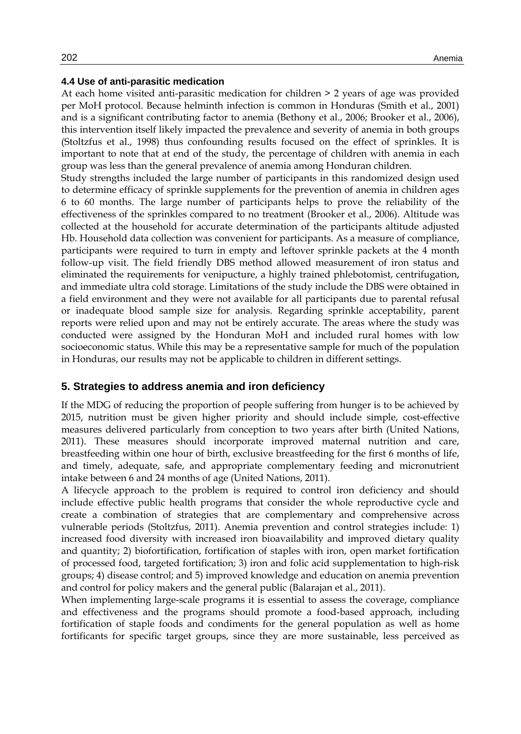#### **4.4 Use of anti-parasitic medication**

At each home visited anti-parasitic medication for children > 2 years of age was provided per MoH protocol. Because helminth infection is common in Honduras (Smith et al., 2001) and is a significant contributing factor to anemia (Bethony et al., 2006; Brooker et al., 2006), this intervention itself likely impacted the prevalence and severity of anemia in both groups (Stoltzfus et al., 1998) thus confounding results focused on the effect of sprinkles. It is important to note that at end of the study, the percentage of children with anemia in each group was less than the general prevalence of anemia among Honduran children.

Study strengths included the large number of participants in this randomized design used to determine efficacy of sprinkle supplements for the prevention of anemia in children ages 6 to 60 months. The large number of participants helps to prove the reliability of the effectiveness of the sprinkles compared to no treatment (Brooker et al., 2006). Altitude was collected at the household for accurate determination of the participants altitude adjusted Hb. Household data collection was convenient for participants. As a measure of compliance, participants were required to turn in empty and leftover sprinkle packets at the 4 month follow-up visit. The field friendly DBS method allowed measurement of iron status and eliminated the requirements for venipucture, a highly trained phlebotomist, centrifugation, and immediate ultra cold storage. Limitations of the study include the DBS were obtained in a field environment and they were not available for all participants due to parental refusal or inadequate blood sample size for analysis. Regarding sprinkle acceptability, parent reports were relied upon and may not be entirely accurate. The areas where the study was conducted were assigned by the Honduran MoH and included rural homes with low socioeconomic status. While this may be a representative sample for much of the population in Honduras, our results may not be applicable to children in different settings.

#### **5. Strategies to address anemia and iron deficiency**

If the MDG of reducing the proportion of people suffering from hunger is to be achieved by 2015, nutrition must be given higher priority and should include simple, cost-effective measures delivered particularly from conception to two years after birth (United Nations, 2011). These measures should incorporate improved maternal nutrition and care, breastfeeding within one hour of birth, exclusive breastfeeding for the first 6 months of life, and timely, adequate, safe, and appropriate complementary feeding and micronutrient intake between 6 and 24 months of age (United Nations, 2011).

A lifecycle approach to the problem is required to control iron deficiency and should include effective public health programs that consider the whole reproductive cycle and create a combination of strategies that are complementary and comprehensive across vulnerable periods (Stoltzfus, 2011). Anemia prevention and control strategies include: 1) increased food diversity with increased iron bioavailability and improved dietary quality and quantity; 2) biofortification, fortification of staples with iron, open market fortification of processed food, targeted fortification; 3) iron and folic acid supplementation to high-risk groups; 4) disease control; and 5) improved knowledge and education on anemia prevention and control for policy makers and the general public (Balarajan et al., 2011).

When implementing large-scale programs it is essential to assess the coverage, compliance and effectiveness and the programs should promote a food-based approach, including fortification of staple foods and condiments for the general population as well as home fortificants for specific target groups, since they are more sustainable, less perceived as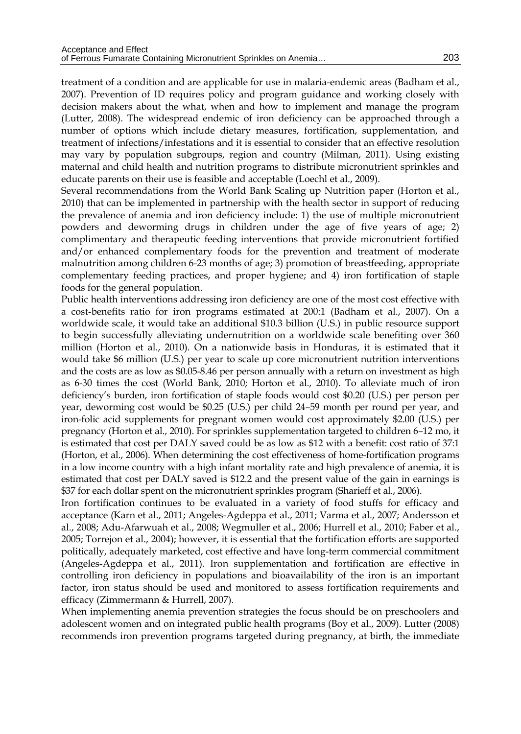treatment of a condition and are applicable for use in malaria-endemic areas (Badham et al., 2007). Prevention of ID requires policy and program guidance and working closely with decision makers about the what, when and how to implement and manage the program (Lutter, 2008). The widespread endemic of iron deficiency can be approached through a number of options which include dietary measures, fortification, supplementation, and treatment of infections/infestations and it is essential to consider that an effective resolution may vary by population subgroups, region and country (Milman, 2011). Using existing maternal and child health and nutrition programs to distribute micronutrient sprinkles and educate parents on their use is feasible and acceptable (Loechl et al., 2009).

Several recommendations from the World Bank Scaling up Nutrition paper (Horton et al., 2010) that can be implemented in partnership with the health sector in support of reducing the prevalence of anemia and iron deficiency include: 1) the use of multiple micronutrient powders and deworming drugs in children under the age of five years of age; 2) complimentary and therapeutic feeding interventions that provide micronutrient fortified and/or enhanced complementary foods for the prevention and treatment of moderate malnutrition among children 6-23 months of age; 3) promotion of breastfeeding, appropriate complementary feeding practices, and proper hygiene; and 4) iron fortification of staple foods for the general population.

Public health interventions addressing iron deficiency are one of the most cost effective with a cost-benefits ratio for iron programs estimated at 200:1 (Badham et al., 2007). On a worldwide scale, it would take an additional \$10.3 billion (U.S.) in public resource support to begin successfully alleviating undernutrition on a worldwide scale benefiting over 360 million (Horton et al., 2010). On a nationwide basis in Honduras, it is estimated that it would take \$6 million (U.S.) per year to scale up core micronutrient nutrition interventions and the costs are as low as \$0.05-8.46 per person annually with a return on investment as high as 6-30 times the cost (World Bank, 2010; Horton et al., 2010). To alleviate much of iron deficiency's burden, iron fortification of staple foods would cost \$0.20 (U.S.) per person per year, deworming cost would be \$0.25 (U.S.) per child 24–59 month per round per year, and iron-folic acid supplements for pregnant women would cost approximately \$2.00 (U.S.) per pregnancy (Horton et al., 2010). For sprinkles supplementation targeted to children 6–12 mo, it is estimated that cost per DALY saved could be as low as \$12 with a benefit: cost ratio of 37:1 (Horton, et al., 2006). When determining the cost effectiveness of home-fortification programs in a low income country with a high infant mortality rate and high prevalence of anemia, it is estimated that cost per DALY saved is \$12.2 and the present value of the gain in earnings is \$37 for each dollar spent on the micronutrient sprinkles program (Sharieff et al., 2006).

Iron fortification continues to be evaluated in a variety of food stuffs for efficacy and acceptance (Karn et al., 2011; Angeles-Agdeppa et al., 2011; Varma et al., 2007; Andersson et al., 2008; Adu-Afarwuah et al., 2008; Wegmuller et al., 2006; Hurrell et al., 2010; Faber et al., 2005; Torrejon et al., 2004); however, it is essential that the fortification efforts are supported politically, adequately marketed, cost effective and have long-term commercial commitment (Angeles-Agdeppa et al., 2011). Iron supplementation and fortification are effective in controlling iron deficiency in populations and bioavailability of the iron is an important factor, iron status should be used and monitored to assess fortification requirements and efficacy (Zimmermann & Hurrell, 2007).

When implementing anemia prevention strategies the focus should be on preschoolers and adolescent women and on integrated public health programs (Boy et al., 2009). Lutter (2008) recommends iron prevention programs targeted during pregnancy, at birth, the immediate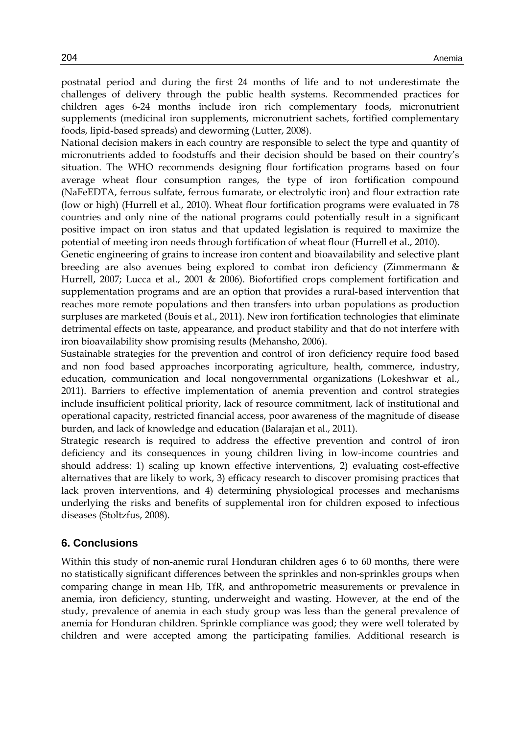postnatal period and during the first 24 months of life and to not underestimate the challenges of delivery through the public health systems. Recommended practices for children ages 6-24 months include iron rich complementary foods, micronutrient supplements (medicinal iron supplements, micronutrient sachets, fortified complementary foods, lipid-based spreads) and deworming (Lutter, 2008).

National decision makers in each country are responsible to select the type and quantity of micronutrients added to foodstuffs and their decision should be based on their country's situation. The WHO recommends designing flour fortification programs based on four average wheat flour consumption ranges, the type of iron fortification compound (NaFeEDTA, ferrous sulfate, ferrous fumarate, or electrolytic iron) and flour extraction rate (low or high) (Hurrell et al., 2010). Wheat flour fortification programs were evaluated in 78 countries and only nine of the national programs could potentially result in a significant positive impact on iron status and that updated legislation is required to maximize the potential of meeting iron needs through fortification of wheat flour (Hurrell et al., 2010).

Genetic engineering of grains to increase iron content and bioavailability and selective plant breeding are also avenues being explored to combat iron deficiency (Zimmermann & Hurrell, 2007; Lucca et al., 2001 & 2006). Biofortified crops complement fortification and supplementation programs and are an option that provides a rural-based intervention that reaches more remote populations and then transfers into urban populations as production surpluses are marketed (Bouis et al., 2011). New iron fortification technologies that eliminate detrimental effects on taste, appearance, and product stability and that do not interfere with iron bioavailability show promising results (Mehansho, 2006).

Sustainable strategies for the prevention and control of iron deficiency require food based and non food based approaches incorporating agriculture, health, commerce, industry, education, communication and local nongovernmental organizations (Lokeshwar et al., 2011). Barriers to effective implementation of anemia prevention and control strategies include insufficient political priority, lack of resource commitment, lack of institutional and operational capacity, restricted financial access, poor awareness of the magnitude of disease burden, and lack of knowledge and education (Balarajan et al., 2011).

Strategic research is required to address the effective prevention and control of iron deficiency and its consequences in young children living in low-income countries and should address: 1) scaling up known effective interventions, 2) evaluating cost-effective alternatives that are likely to work, 3) efficacy research to discover promising practices that lack proven interventions, and 4) determining physiological processes and mechanisms underlying the risks and benefits of supplemental iron for children exposed to infectious diseases (Stoltzfus, 2008).

## **6. Conclusions**

Within this study of non-anemic rural Honduran children ages 6 to 60 months, there were no statistically significant differences between the sprinkles and non-sprinkles groups when comparing change in mean Hb, TfR, and anthropometric measurements or prevalence in anemia, iron deficiency, stunting, underweight and wasting. However, at the end of the study, prevalence of anemia in each study group was less than the general prevalence of anemia for Honduran children. Sprinkle compliance was good; they were well tolerated by children and were accepted among the participating families. Additional research is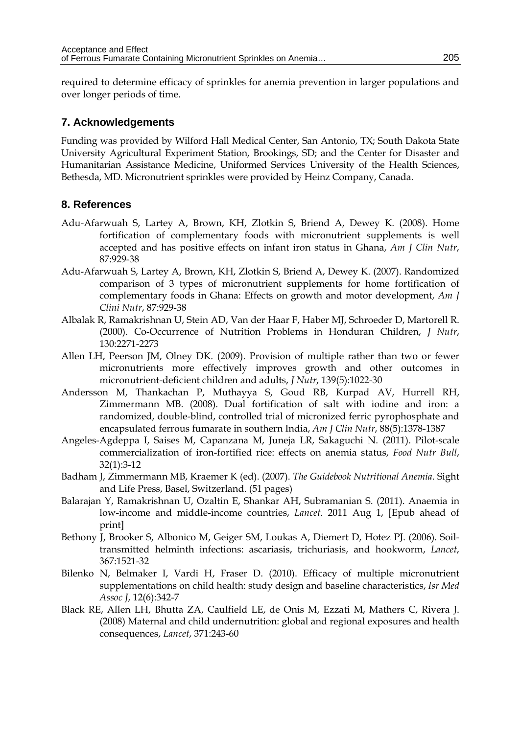required to determine efficacy of sprinkles for anemia prevention in larger populations and over longer periods of time.

# **7. Acknowledgements**

Funding was provided by Wilford Hall Medical Center, San Antonio, TX; South Dakota State University Agricultural Experiment Station, Brookings, SD; and the Center for Disaster and Humanitarian Assistance Medicine, Uniformed Services University of the Health Sciences, Bethesda, MD. Micronutrient sprinkles were provided by Heinz Company, Canada.

## **8. References**

- Adu-Afarwuah S, Lartey A, Brown, KH, Zlotkin S, Briend A, Dewey K. (2008). Home fortification of complementary foods with micronutrient supplements is well accepted and has positive effects on infant iron status in Ghana, *Am J Clin Nutr*, 87:929-38
- Adu-Afarwuah S, Lartey A, Brown, KH, Zlotkin S, Briend A, Dewey K. (2007). Randomized comparison of 3 types of micronutrient supplements for home fortification of complementary foods in Ghana: Effects on growth and motor development, *Am J Clini Nutr*, 87:929-38
- Albalak R, Ramakrishnan U, Stein AD, Van der Haar F, Haber MJ, Schroeder D, Martorell R. (2000). Co-Occurrence of Nutrition Problems in Honduran Children, *J Nutr*, 130:2271-2273
- Allen LH, Peerson JM, Olney DK. (2009). Provision of multiple rather than two or fewer micronutrients more effectively improves growth and other outcomes in micronutrient-deficient children and adults, *J Nutr*, 139(5):1022-30
- Andersson M, Thankachan P, Muthayya S, Goud RB, Kurpad AV, Hurrell RH, Zimmermann MB. (2008). Dual fortification of salt with iodine and iron: a randomized, double-blind, controlled trial of micronized ferric pyrophosphate and encapsulated ferrous fumarate in southern India, *Am J Clin Nutr*, 88(5):1378-1387
- Angeles-Agdeppa I, Saises M, Capanzana M, Juneja LR, Sakaguchi N. (2011). Pilot-scale commercialization of iron-fortified rice: effects on anemia status, *Food Nutr Bull*, 32(1):3-12
- Badham J, Zimmermann MB, Kraemer K (ed). (2007). *The Guidebook Nutritional Anemia*. Sight and Life Press, Basel, Switzerland. (51 pages)
- Balarajan Y, Ramakrishnan U, Ozaltin E, Shankar AH, Subramanian S. (2011). Anaemia in low-income and middle-income countries, *Lancet.* 2011 Aug 1, [Epub ahead of print]
- Bethony J, Brooker S, Albonico M, Geiger SM, Loukas A, Diemert D, Hotez PJ. (2006). Soiltransmitted helminth infections: ascariasis, trichuriasis, and hookworm, *Lancet*, 367:1521-32
- Bilenko N, Belmaker I, Vardi H, Fraser D. (2010). Efficacy of multiple micronutrient supplementations on child health: study design and baseline characteristics, *Isr Med Assoc J*, 12(6):342-7
- Black RE, Allen LH, Bhutta ZA, Caulfield LE, de Onis M, Ezzati M, Mathers C, Rivera J. (2008) Maternal and child undernutrition: global and regional exposures and health consequences, *Lancet*, 371:243-60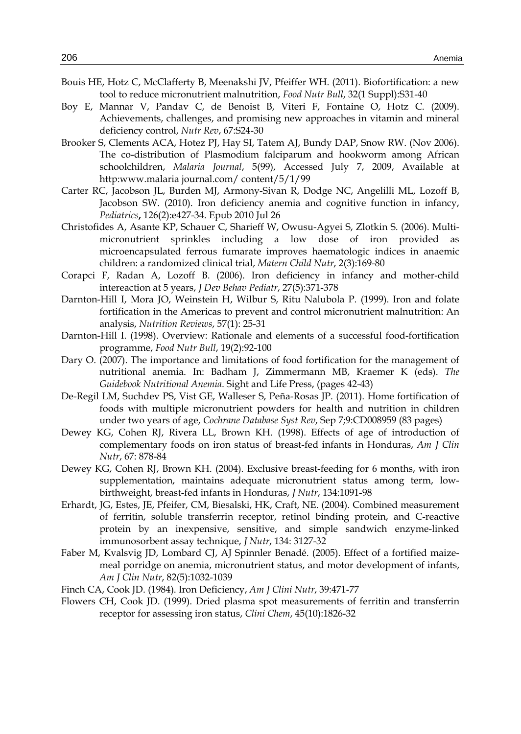- Bouis HE, Hotz C, McClafferty B, Meenakshi JV, Pfeiffer WH. (2011). Biofortification: a new tool to reduce micronutrient malnutrition, *Food Nutr Bull*, 32(1 Suppl):S31-40
- Boy E, Mannar V, Pandav C, de Benoist B, Viteri F, Fontaine O, Hotz C. (2009). Achievements, challenges, and promising new approaches in vitamin and mineral deficiency control, *Nutr Rev*, 67:S24-30
- Brooker S, Clements ACA, Hotez PJ, Hay SI, Tatem AJ, Bundy DAP, Snow RW. (Nov 2006). The co-distribution of Plasmodium falciparum and hookworm among African schoolchildren, *Malaria Journal*, 5(99), Accessed July 7, 2009, Available at http:www.malaria journal.com/ content/5/1/99
- Carter RC, Jacobson JL, Burden MJ, Armony-Sivan R, Dodge NC, Angelilli ML, Lozoff B, Jacobson SW. (2010). Iron deficiency anemia and cognitive function in infancy, *Pediatrics***,** 126(2):e427-34. Epub 2010 Jul 26
- Christofides A, Asante KP, Schauer C, Sharieff W, Owusu-Agyei S, Zlotkin S. (2006). Multimicronutrient sprinkles including a low dose of iron provided as microencapsulated ferrous fumarate improves haematologic indices in anaemic children: a randomized clinical trial, *Matern Child Nutr*, 2(3):169-80
- Corapci F, Radan A, Lozoff B. (2006). Iron deficiency in infancy and mother-child intereaction at 5 years, *J Dev Behav Pediatr*, 27(5):371-378
- Darnton-Hill I, Mora JO, Weinstein H, Wilbur S, Ritu Nalubola P. (1999). Iron and folate fortification in the Americas to prevent and control micronutrient malnutrition: An analysis, *Nutrition Reviews*, 57(1): 25-31
- Darnton-Hill I. (1998). Overview: Rationale and elements of a successful food-fortification programme, *Food Nutr Bull*, 19(2):92-100
- Dary O. (2007). The importance and limitations of food fortification for the management of nutritional anemia. In: Badham J, Zimmermann MB, Kraemer K (eds). *The Guidebook Nutritional Anemia*. Sight and Life Press, (pages 42-43)
- De-Regil LM, Suchdev PS, Vist GE, Walleser S, Peña-Rosas JP. (2011). Home fortification of foods with multiple micronutrient powders for health and nutrition in children under two years of age, *Cochrane Database Syst Rev*, Sep 7;9:CD008959 (83 pages)
- Dewey KG, Cohen RJ, Rivera LL, Brown KH. (1998). Effects of age of introduction of complementary foods on iron status of breast-fed infants in Honduras, *Am J Clin Nutr*, 67: 878-84
- Dewey KG, Cohen RJ, Brown KH. (2004). Exclusive breast-feeding for 6 months, with iron supplementation, maintains adequate micronutrient status among term, lowbirthweight, breast-fed infants in Honduras, *J Nutr*, 134:1091-98
- Erhardt, JG, Estes, JE, Pfeifer, CM, Biesalski, HK, Craft, NE. (2004). Combined measurement of ferritin, soluble transferrin receptor, retinol binding protein, and C-reactive protein by an inexpensive, sensitive, and simple sandwich enzyme-linked immunosorbent assay technique, *J Nutr*, 134: 3127-32
- Faber M, Kvalsvig JD, Lombard CJ, AJ Spinnler Benadé. (2005). Effect of a fortified maizemeal porridge on anemia, micronutrient status, and motor development of infants, *Am J Clin Nutr*, 82(5):1032-1039
- Finch CA, Cook JD. (1984). Iron Deficiency, *Am J Clini Nutr*, 39:471-77
- Flowers CH, Cook JD. (1999). Dried plasma spot measurements of ferritin and transferrin receptor for assessing iron status, *Clini Chem*, 45(10):1826-32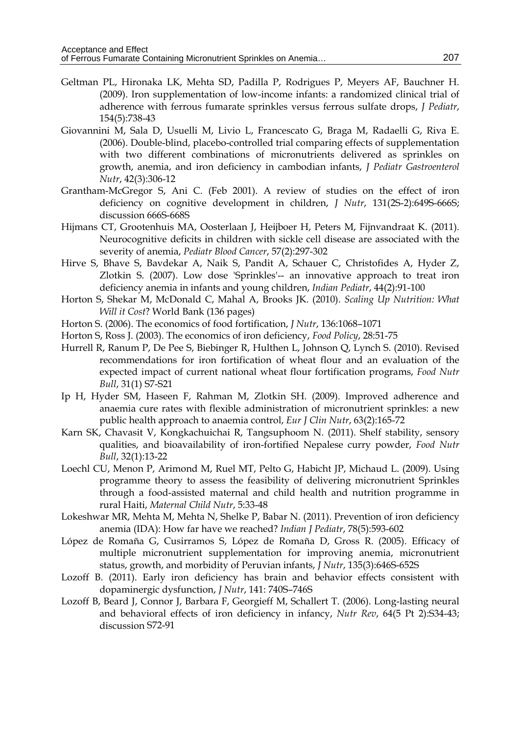- Geltman PL, Hironaka LK, Mehta SD, Padilla P, Rodrigues P, Meyers AF, Bauchner H. (2009). Iron supplementation of low-income infants: a randomized clinical trial of adherence with ferrous fumarate sprinkles versus ferrous sulfate drops, *J Pediatr*, 154(5):738-43
- Giovannini M, Sala D, Usuelli M, Livio L, Francescato G, Braga M, Radaelli G, Riva E. (2006). Double-blind, placebo-controlled trial comparing effects of supplementation with two different combinations of micronutrients delivered as sprinkles on growth, anemia, and iron deficiency in cambodian infants, *J Pediatr Gastroenterol Nutr*, 42(3):306-12
- Grantham-McGregor S, Ani C. (Feb 2001). A review of studies on the effect of iron deficiency on cognitive development in children, *J Nutr*, 131(2S-2):649S-666S; discussion 666S-668S
- Hijmans CT, Grootenhuis MA, Oosterlaan J, Heijboer H, Peters M, Fijnvandraat K. (2011). Neurocognitive deficits in children with sickle cell disease are associated with the severity of anemia, *Pediatr Blood Cancer*, 57(2):297-302
- Hirve S, Bhave S, Bavdekar A, Naik S, Pandit A, Schauer C, Christofides A, Hyder Z, Zlotkin S. (2007). Low dose 'Sprinkles'-- an innovative approach to treat iron deficiency anemia in infants and young children, *Indian Pediatr*, 44(2):91-100
- Horton S, Shekar M, McDonald C, Mahal A, Brooks JK. (2010). *Scaling Up Nutrition: What Will it Cost*? World Bank (136 pages)
- Horton S. (2006). The economics of food fortification, *J Nutr*, 136:1068–1071
- Horton S, Ross J. (2003). The economics of iron deficiency, *Food Policy*, 28:51-75
- Hurrell R, Ranum P, De Pee S, Biebinger R, Hulthen L, Johnson Q, Lynch S. (2010). Revised recommendations for iron fortification of wheat flour and an evaluation of the expected impact of current national wheat flour fortification programs, *Food Nutr Bull*, 31(1) S7-S21
- Ip H, Hyder SM, Haseen F, Rahman M, Zlotkin SH. (2009). Improved adherence and anaemia cure rates with flexible administration of micronutrient sprinkles: a new public health approach to anaemia control, *Eur J Clin Nutr*, 63(2):165-72
- Karn SK, Chavasit V, Kongkachuichai R, Tangsuphoom N. (2011). Shelf stability, sensory qualities, and bioavailability of iron-fortified Nepalese curry powder, *Food Nutr Bull*, 32(1):13-22
- Loechl CU, Menon P, Arimond M, Ruel MT, Pelto G, Habicht JP, Michaud L. (2009). Using programme theory to assess the feasibility of delivering micronutrient Sprinkles through a food-assisted maternal and child health and nutrition programme in rural Haiti, *Maternal Child Nutr*, 5:33-48
- Lokeshwar MR, Mehta M, Mehta N, Shelke P, Babar N. (2011). Prevention of iron deficiency anemia (IDA): How far have we reached? *Indian J Pediatr*, 78(5):593-602
- López de Romaña G, Cusirramos S, López de Romaña D, Gross R. (2005). Efficacy of multiple micronutrient supplementation for improving anemia, micronutrient status, growth, and morbidity of Peruvian infants, *J Nutr*, 135(3):646S-652S
- Lozoff B. (2011). Early iron deficiency has brain and behavior effects consistent with dopaminergic dysfunction, *J Nutr*, 141: 740S–746S
- Lozoff B, Beard J, Connor J, Barbara F, Georgieff M, Schallert T. (2006). Long-lasting neural and behavioral effects of iron deficiency in infancy, *Nutr Rev*, 64(5 Pt 2):S34-43; discussion S72-91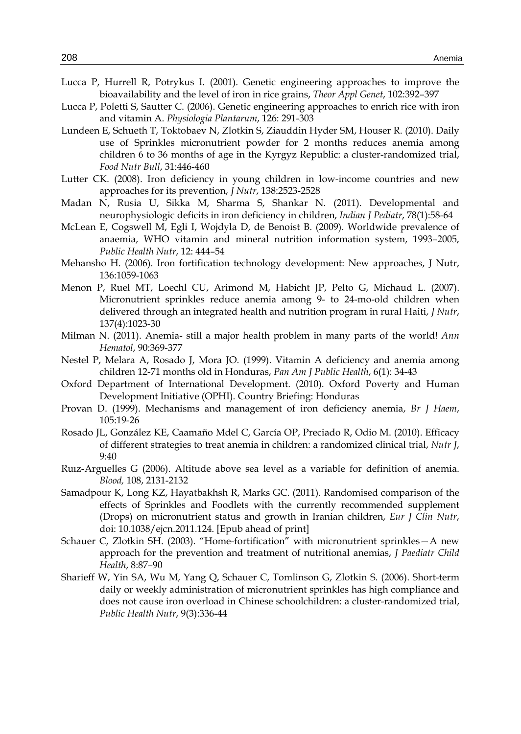- Lucca P, Hurrell R, Potrykus I. (2001). Genetic engineering approaches to improve the bioavailability and the level of iron in rice grains, *Theor Appl Genet*, 102:392–397
- Lucca P, Poletti S, Sautter C. (2006). Genetic engineering approaches to enrich rice with iron and vitamin A. *Physiologia Plantarum*, 126: 291-303
- Lundeen E, Schueth T, Toktobaev N, Zlotkin S, Ziauddin Hyder SM, Houser R. (2010). Daily use of Sprinkles micronutrient powder for 2 months reduces anemia among children 6 to 36 months of age in the Kyrgyz Republic: a cluster-randomized trial, *Food Nutr Bull*, 31:446-460
- Lutter CK. (2008). Iron deficiency in young children in low-income countries and new approaches for its prevention, *J Nutr*, 138:2523-2528
- Madan N, Rusia U, Sikka M, Sharma S, Shankar N. (2011). Developmental and neurophysiologic deficits in iron deficiency in children, *Indian J Pediatr*, 78(1):58-64
- McLean E, Cogswell M, Egli I, Wojdyla D, de Benoist B. (2009). Worldwide prevalence of anaemia, WHO vitamin and mineral nutrition information system, 1993–2005, *Public Health Nutr*, 12: 444–54
- Mehansho H. (2006). Iron fortification technology development: New approaches, J Nutr, 136:1059-1063
- Menon P, Ruel MT, Loechl CU, Arimond M, Habicht JP, Pelto G, Michaud L. (2007). Micronutrient sprinkles reduce anemia among 9- to 24-mo-old children when delivered through an integrated health and nutrition program in rural Haiti, *J Nutr*, 137(4):1023-30
- Milman N. (2011). Anemia- still a major health problem in many parts of the world! *Ann Hematol*, 90:369-377
- Nestel P, Melara A, Rosado J, Mora JO. (1999). Vitamin A deficiency and anemia among children 12-71 months old in Honduras, *Pan Am J Public Health*, 6(1): 34-43
- Oxford Department of International Development. (2010). Oxford Poverty and Human Development Initiative (OPHI). Country Briefing: Honduras
- Provan D. (1999). Mechanisms and management of iron deficiency anemia, *Br J Haem*, 105:19-26
- Rosado JL, González KE, Caamaño Mdel C, García OP, Preciado R, Odio M. (2010). Efficacy of different strategies to treat anemia in children: a randomized clinical trial, *Nutr J*, 9:40
- Ruız-Arguelles G (2006). Altitude above sea level as a variable for definition of anemia. *Blood,* 108, 2131-2132
- Samadpour K, Long KZ, Hayatbakhsh R, Marks GC. (2011). Randomised comparison of the effects of Sprinkles and Foodlets with the currently recommended supplement (Drops) on micronutrient status and growth in Iranian children, *Eur J Clin Nutr*, doi: 10.1038/ejcn.2011.124. [Epub ahead of print]
- Schauer C, Zlotkin SH. (2003). "Home-fortification" with micronutrient sprinkles—A new approach for the prevention and treatment of nutritional anemias, *J Paediatr Child Health*, 8:87–90
- Sharieff W, Yin SA, Wu M, Yang Q, Schauer C, Tomlinson G, Zlotkin S. (2006). Short-term daily or weekly administration of micronutrient sprinkles has high compliance and does not cause iron overload in Chinese schoolchildren: a cluster-randomized trial, *Public Health Nutr*, 9(3):336-44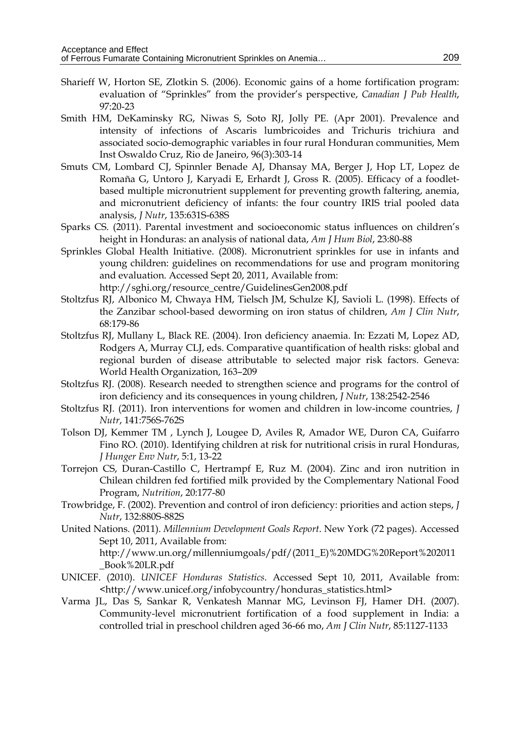- Sharieff W, Horton SE, Zlotkin S. (2006). Economic gains of a home fortification program: evaluation of "Sprinkles" from the provider's perspective, *Canadian J Pub Health*, 97:20-23
- Smith HM, DeKaminsky RG, Niwas S, Soto RJ, Jolly PE. (Apr 2001). Prevalence and intensity of infections of Ascaris lumbricoides and Trichuris trichiura and associated socio-demographic variables in four rural Honduran communities, Mem Inst Oswaldo Cruz, Rio de Janeiro, 96(3):303-14
- Smuts CM, Lombard CJ, Spinnler Benade AJ, Dhansay MA, Berger J, Hop LT, Lopez de Romaña G, Untoro J, Karyadi E, Erhardt J, Gross R. (2005). Efficacy of a foodletbased multiple micronutrient supplement for preventing growth faltering, anemia, and micronutrient deficiency of infants: the four country IRIS trial pooled data analysis, *J Nutr*, 135:631S-638S
- Sparks CS. (2011). Parental investment and socioeconomic status influences on children's height in Honduras: an analysis of national data, *Am J Hum Biol*, 23:80-88
- Sprinkles Global Health Initiative. (2008). Micronutrient sprinkles for use in infants and young children: guidelines on recommendations for use and program monitoring and evaluation. Accessed Sept 20, 2011, Available from:

http://sghi.org/resource\_centre/GuidelinesGen2008.pdf

- Stoltzfus RJ, Albonico M, Chwaya HM, Tielsch JM, Schulze KJ, Savioli L. (1998). Effects of the Zanzibar school-based deworming on iron status of children, *Am J Clin Nutr*, 68:179-86
- Stoltzfus RJ, Mullany L, Black RE. (2004). Iron deficiency anaemia. In: Ezzati M, Lopez AD, Rodgers A, Murray CLJ, eds. Comparative quantification of health risks: global and regional burden of disease attributable to selected major risk factors. Geneva: World Health Organization, 163–209
- Stoltzfus RJ. (2008). Research needed to strengthen science and programs for the control of iron deficiency and its consequences in young children, *J Nutr*, 138:2542-2546
- Stoltzfus RJ. (2011). Iron interventions for women and children in low-income countries, *J Nutr*, 141:756S-762S
- Tolson DJ, Kemmer TM , Lynch J, Lougee D, Aviles R, Amador WE, Duron CA, Guifarro Fino RO. (2010). Identifying children at risk for nutritional crisis in rural Honduras, *J Hunger Env Nutr*, 5:1, 13-22
- Torrejon CS, Duran-Castillo C, Hertrampf E, Ruz M. (2004). Zinc and iron nutrition in Chilean children fed fortified milk provided by the Complementary National Food Program, *Nutrition*, 20:177-80
- Trowbridge, F. (2002). Prevention and control of iron deficiency: priorities and action steps, *J Nutr*, 132:880S-882S
- United Nations. (2011). *Millennium Development Goals Report*. New York (72 pages). Accessed Sept 10, 2011, Available from:

 http://www.un.org/millenniumgoals/pdf/(2011\_E)%20MDG%20Report%202011 \_Book%20LR.pdf

- UNICEF. (2010). *UNICEF Honduras Statistics*. Accessed Sept 10, 2011, Available from: <http://www.unicef.org/infobycountry/honduras\_statistics.html>
- Varma JL, Das S, Sankar R, Venkatesh Mannar MG, Levinson FJ, Hamer DH. (2007). Community-level micronutrient fortification of a food supplement in India: a controlled trial in preschool children aged 36-66 mo, *Am J Clin Nutr*, 85:1127-1133